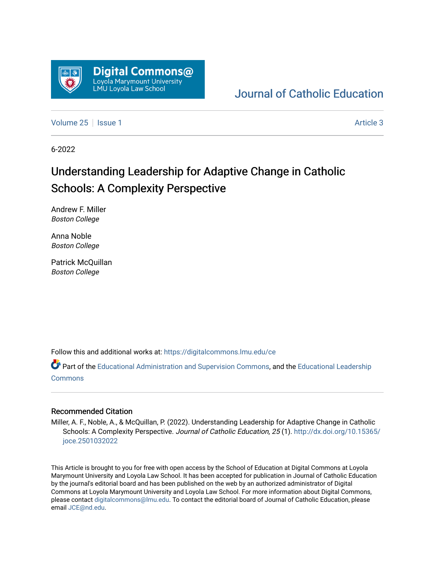

# [Journal of Catholic Education](https://digitalcommons.lmu.edu/ce)

[Volume 25](https://digitalcommons.lmu.edu/ce/vol25) | [Issue 1](https://digitalcommons.lmu.edu/ce/vol25/iss1) Article 3

6-2022

# Understanding Leadership for Adaptive Change in Catholic Schools: A Complexity Perspective

Andrew F. Miller Boston College

Anna Noble Boston College

Patrick McQuillan Boston College

Follow this and additional works at: [https://digitalcommons.lmu.edu/ce](https://digitalcommons.lmu.edu/ce?utm_source=digitalcommons.lmu.edu%2Fce%2Fvol25%2Fiss1%2F3&utm_medium=PDF&utm_campaign=PDFCoverPages)

Part of the [Educational Administration and Supervision Commons](https://network.bepress.com/hgg/discipline/787?utm_source=digitalcommons.lmu.edu%2Fce%2Fvol25%2Fiss1%2F3&utm_medium=PDF&utm_campaign=PDFCoverPages), and the [Educational Leadership](https://network.bepress.com/hgg/discipline/1230?utm_source=digitalcommons.lmu.edu%2Fce%2Fvol25%2Fiss1%2F3&utm_medium=PDF&utm_campaign=PDFCoverPages)  [Commons](https://network.bepress.com/hgg/discipline/1230?utm_source=digitalcommons.lmu.edu%2Fce%2Fvol25%2Fiss1%2F3&utm_medium=PDF&utm_campaign=PDFCoverPages)

#### Recommended Citation

Miller, A. F., Noble, A., & McQuillan, P. (2022). Understanding Leadership for Adaptive Change in Catholic Schools: A Complexity Perspective. Journal of Catholic Education, 25 (1). [http://dx.doi.org/10.15365/](http://dx.doi.org/10.15365/joce.2501032022) [joce.2501032022](http://dx.doi.org/10.15365/joce.2501032022) 

This Article is brought to you for free with open access by the School of Education at Digital Commons at Loyola Marymount University and Loyola Law School. It has been accepted for publication in Journal of Catholic Education by the journal's editorial board and has been published on the web by an authorized administrator of Digital Commons at Loyola Marymount University and Loyola Law School. For more information about Digital Commons, please contact [digitalcommons@lmu.edu](mailto:digitalcommons@lmu.edu). To contact the editorial board of Journal of Catholic Education, please email [JCE@nd.edu](mailto:JCE@nd.edu).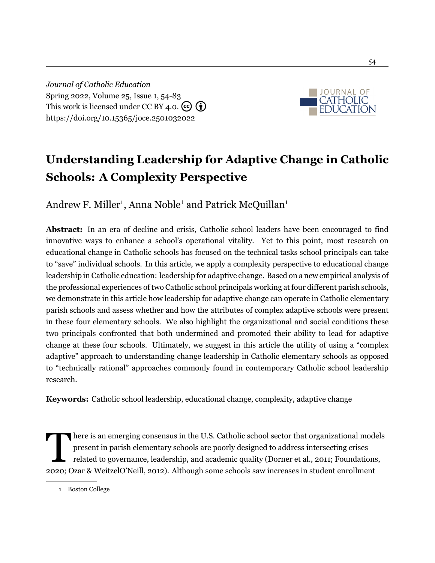*Journal of Catholic Education* Spring 2022, Volume 25, Issue 1, 54[-83](#page--1-0) This work is licensed under CC BY 4.0.  $(c)$  (i) <https://doi.org/10.15365/joce.2501032022>



# **Understanding Leadership for Adaptive Change in Catholic Schools: A Complexity Perspective**

Andrew F. Miller<sup>1</sup>, Anna Noble<sup>1</sup> and Patrick McQuillan<sup>1</sup>

Abstract: In an era of decline and crisis, Catholic school leaders have been encouraged to find innovative ways to enhance a school's operational vitality. Yet to this point, most research on educational change in Catholic schools has focused on the technical tasks school principals can take to "save" individual schools. In this article, we apply a complexity perspective to educational change leadership in Catholic education: leadership for adaptive change. Based on a new empirical analysis of the professional experiences of two Catholic school principals working at four different parish schools, we demonstrate in this article how leadership for adaptive change can operate in Catholic elementary parish schools and assess whether and how the attributes of complex adaptive schools were present in these four elementary schools. We also highlight the organizational and social conditions these two principals confronted that both undermined and promoted their ability to lead for adaptive change at these four schools. Ultimately, we suggest in this article the utility of using a "complex adaptive" approach to understanding change leadership in Catholic elementary schools as opposed to "technically rational" approaches commonly found in contemporary Catholic school leadership research.

**Keywords:** Catholic school leadership, educational change, complexity, adaptive change

 $\prod$ here is an emerging consensus in the U.S. Catholic school sector that organizational models present in parish elementary schools are poorly designed to address intersecting crises related to governance, leadership, and academic quality [\(Dorner et al.,](#page--1-1) [2011](#page--1-1); [Foundations](#page--1-2), [2020](#page--1-2); [Ozar & WeitzelO'Neill](#page--1-3), [2012](#page--1-3)). Although some schools saw increases in student enrollment

<sup>1</sup> Boston College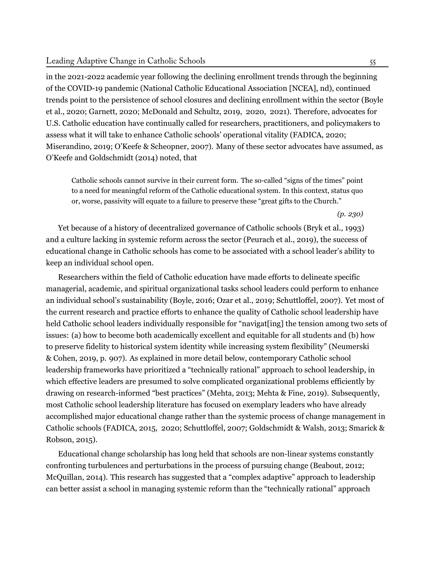in the 2021-2022 academic year following the declining enrollment trends through the beginning of the COVID-19 pandemic (National Catholic Educational Association [NCEA], [nd](#page-28-0)), continued trends point to the persistence of school closures and declining enrollment within the sector ([Boyle](#page-26-0) et [al.](#page-26-0), [2020](#page-26-0); [Garnett](#page-27-0), [2020](#page-27-0); [McDonald](#page-28-1) and Schultz, [2019](#page-28-1), [2020,](#page-28-2) [2021\)](#page-28-3). Therefore, advocates for U.S. Catholic education have continually called for researchers, practitioners, and policymakers to assess what it will take to enhance Catholic schools' operational vitality (FADICA, [2020](#page-27-1); [Miserandino](#page-28-4), [2019;](#page-28-4) O'Keefe & [Scheopner](#page-29-0), [2007\)](#page-29-0). Many of these sector advocates have assumed, as [O'Keefe](#page-29-1) and [Goldschmidt](#page-29-1) ([2014](#page-29-1)) noted, that

Catholic schools cannot survive in their current form. The so-called "signs of the times" point to a need for meaningful reform of the Catholic educational system. In this context, status quo or, worse, passivity will equate to a failure to preserve these "great gifts to the Church."

*(p. 230)*

Yet because of a history of decentralized governance of Catholic schools [\(Bryk](#page-26-1) et al., [1993\)](#page-26-1) and a culture lacking in systemic reform across the sector ([Peurach](#page-29-2) et al., [2019](#page-29-2)), the success of educational change in Catholic schools has come to be associated with a school leader's ability to keep an individual school open.

Researchers within the field of Catholic education have made efforts to delineate specific managerial, academic, and spiritual organizational tasks school leaders could perform to enhance an individual school's sustainability [\(Boyle,](#page-26-2) [2016](#page-26-2); [Ozar](#page-29-3) et al., [2019](#page-29-3); [Schuttloffel,](#page-29-4) [2007\)](#page-29-4). Yet most of the current research and practice efforts to enhance the quality of Catholic school leadership have held Catholic school leaders individually responsible for "navigat[ing] the tension among two sets of issues: (a) how to become both academically excellent and equitable for all students and (b) how to preserve fidelity to historical system identity while increasing system flexibility" (Neumerski & Cohen, [2019](#page-28-5), p. 907). As explained in more detail below, contemporary Catholic school leadership frameworks have prioritized a "technically rational" approach to school leadership, in which effective leaders are presumed to solve complicated organizational problems efficiently by drawing on research-informed "best practices" ([Mehta,](#page-28-6) [2013;](#page-28-6) [Mehta](#page-28-7) & Fine, [2019](#page-28-7)). Subsequently, most Catholic school leadership literature has focused on exemplary leaders who have already accomplished major educational change rather than the systemic process of change management in Catholic schools (F[ADICA](#page-26-3), [2015,](#page-26-3) [2020;](#page-27-1) [Schuttloffel](#page-29-4), [2007](#page-29-4); [Goldschmidt](#page-27-2) & Walsh, [2013](#page-27-2); Smarick & Robson, [2015](#page-30-0)).

Educational change scholarship has long held that schools are non-linear systems constantly confronting turbulences and perturbations in the process of pursuing change ([Beabout,](#page-26-4) [2012;](#page-26-4) [McQuillan,](#page-28-8) [2014\)](#page-28-8). This research has suggested that a "complex adaptive" approach to leadership can better assist a school in managing systemic reform than the "technically rational" approach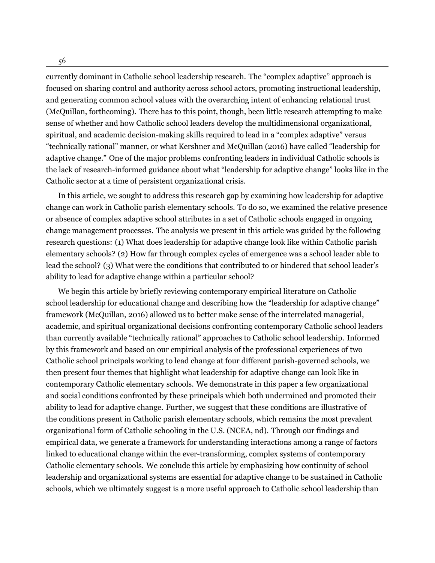56

currently dominant in Catholic school leadership research. The "complex adaptive" approach is focused on sharing control and authority across school actors, promoting instructional leadership, and generating common school values with the overarching intent of enhancing relational trust ([McQuillan,](#page-28-9) forthcoming). There has to this point, though, been little research attempting to make sense of whether and how Catholic school leaders develop the multidimensional organizational, spiritual, and academic decision-making skills required to lead in a "complex adaptive" versus "technically rational" manner, or what Kershner and [McQuillan](#page-28-10) [\(2016\)](#page-28-10) have called "leadership for adaptive change." One of the major problems confronting leaders in individual Catholic schools is the lack of research-informed guidance about what "leadership for adaptive change" looks like in the Catholic sector at a time of persistent organizational crisis.

In this article, we sought to address this research gap by examining how leadership for adaptive change can work in Catholic parish elementary schools. To do so, we examined the relative presence or absence of complex adaptive school attributes in a set of Catholic schools engaged in ongoing change management processes. The analysis we present in this article was guided by the following research questions: (1) What does leadership for adaptive change look like within Catholic parish elementary schools? (2) How far through complex cycles of emergence was a school leader able to lead the school? (3) What were the conditions that contributed to or hindered that school leader's ability to lead for adaptive change within a particular school?

We begin this article by briefly reviewing contemporary empirical literature on Catholic school leadership for educational change and describing how the "leadership for adaptive change" framework [\(McQuillan](#page-28-10), [2016](#page-28-10)) allowed us to better make sense of the interrelated managerial, academic, and spiritual organizational decisions confronting contemporary Catholic school leaders than currently available "technically rational" approaches to Catholic school leadership. Informed by this framework and based on our empirical analysis of the professional experiences of two Catholic school principals working to lead change at four different parish-governed schools, we then present four themes that highlight what leadership for adaptive change can look like in contemporary Catholic elementary schools. We demonstrate in this paper a few organizational and social conditions confronted by these principals which both undermined and promoted their ability to lead for adaptive change. Further, we suggest that these conditions are illustrative of the conditions present in Catholic parish elementary schools, which remains the most prevalent organizational form of Catholic schooling in the U.S. (NCEA, [nd](#page-28-0)). Through our findings and empirical data, we generate a framework for understanding interactions among a range of factors linked to educational change within the ever-transforming, complex systems of contemporary Catholic elementary schools. We conclude this article by emphasizing how continuity of school leadership and organizational systems are essential for adaptive change to be sustained in Catholic schools, which we ultimately suggest is a more useful approach to Catholic school leadership than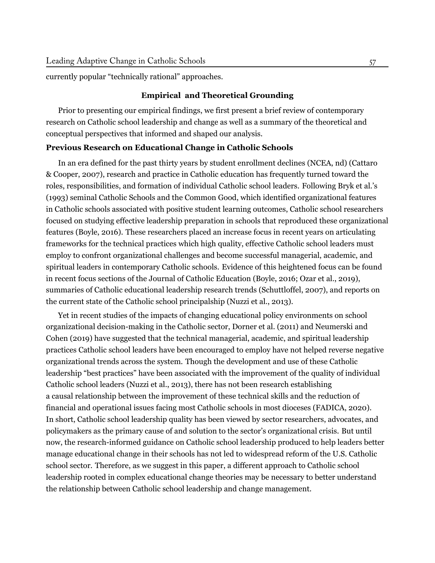currently popular "technically rational" approaches.

### **Empirical and Theoretical Grounding**

Prior to presenting our empirical findings, we first present a brief review of contemporary research on Catholic school leadership and change as well as a summary of the theoretical and conceptual perspectives that informed and shaped our analysis.

#### **Previous Research on Educational Change in Catholic Schools**

In an era defined for the past thirty years by student enrollment declines (NCEA, [nd\)](#page-28-0) ([Cattaro](#page-26-5) & [Cooper,](#page-26-5) [2007](#page-26-5)), research and practice in Catholic education has frequently turned toward the roles, responsibilities, and formation of individual Catholic school leaders. Following Bryk et al.'s ([1993\)](#page-26-1) seminal Catholic Schools and the Common Good, which identified organizational features in Catholic schools associated with positive student learning outcomes, Catholic school researchers focused on studying effective leadership preparation in schools that reproduced these organizational features [\(Boyle](#page-26-2), [2016](#page-26-2)). These researchers placed an increase focus in recent years on articulating frameworks for the technical practices which high quality, effective Catholic school leaders must employ to confront organizational challenges and become successful managerial, academic, and spiritual leaders in contemporary Catholic schools. Evidence of this heightened focus can be found in recent focus sections of the Journal of Catholic Education [\(Boyle,](#page-26-2) [2016](#page-26-2); [Ozar](#page-29-3) et al., [2019](#page-29-3)), summaries of Catholic educational leadership research trends [\(Schuttloffel](#page-29-4), [2007\)](#page-29-4), and reports on the current state of the Catholic school principalship [\(Nuzzi](#page-28-11) et al., [2013\)](#page-28-11).

Yet in recent studies of the impacts of changing educational policy environments on school organizational decision-making in the Catholic sector, [Dorner](#page-26-6) et al. [\(2011](#page-26-6)) and [Neumerski](#page-28-5) and [Cohen](#page-28-5) [\(2019](#page-28-5)) have suggested that the technical managerial, academic, and spiritual leadership practices Catholic school leaders have been encouraged to employ have not helped reverse negative organizational trends across the system. Though the development and use of these Catholic leadership "best practices" have been associated with the improvement of the quality of individual Catholic school leaders [\(Nuzzi](#page-28-11) et al., [2013\)](#page-28-11), there has not been research establishing a causal relationship between the improvement of these technical skills and the reduction of financial and operational issues facing most Catholic schools in most dioceses (FADICA, [2020](#page-27-1)). In short, Catholic school leadership quality has been viewed by sector researchers, advocates, and policymakers as the primary cause of and solution to the sector's organizational crisis. But until now, the research-informed guidance on Catholic school leadership produced to help leaders better manage educational change in their schools has not led to widespread reform of the U.S. Catholic school sector. Therefore, as we suggest in this paper, a different approach to Catholic school leadership rooted in complex educational change theories may be necessary to better understand the relationship between Catholic school leadership and change management.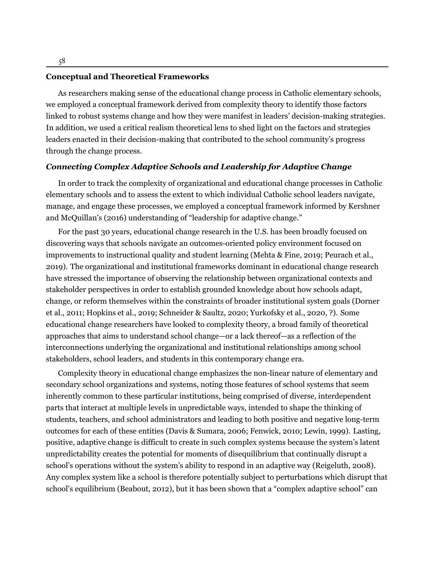#### **Conceptual and Theoretical Frameworks**

As researchers making sense of the educational change process in Catholic elementary schools, we employed a conceptual framework derived from complexity theory to identify those factors linked to robust systems change and how they were manifest in leaders' decision-making strategies. In addition, we used a critical realism theoretical lens to shed light on the factors and strategies leaders enacted in their decision-making that contributed to the school community's progress through the change process.

#### *Connecting Complex Adaptive Schools and Leadership for Adaptive Change*

In order to track the complexity of organizational and educational change processes in Catholic elementary schools and to assess the extent to which individual Catholic school leaders navigate, manage, and engage these processes, we employed a conceptual framework informed by Kershner and McQuillan's [\(2016](#page-27-3)) understanding of "leadership for adaptive change."

For the past 30 years, educational change research in the U.S. has been broadly focused on discovering ways that schools navigate an outcomes-oriented policy environment focused on improvements to instructional quality and student learning ([Mehta & Fine](#page-28-7), [2019](#page-28-7); [Peurach et al.,](#page-29-2) [2019](#page-29-2)). The organizational and institutional frameworks dominant in educational change research have stressed the importance of observing the relationship between organizational contexts and stakeholder perspectives in order to establish grounded knowledge about how schools adapt, change, or reform themselves within the constraints of broader institutional system goals ([Dorner](#page-26-6) [et al.](#page-26-6), [2011;](#page-26-6) [Hopkins et al.,](#page-27-4) [2019](#page-27-4); [Schneider & Saultz](#page-29-5), [2020](#page-29-5); [Yurkofsky et al.,](#page-30-1) [2020,](#page-30-1) [?\)](#page-30-1). Some educational change researchers have looked to complexity theory, a broad family of theoretical approaches that aims to understand school change—or a lack thereof—as a reflection of the interconnections underlying the organizational and institutional relationships among school stakeholders, school leaders, and students in this contemporary change era.

Complexity theory in educational change emphasizes the non-linear nature of elementary and secondary school organizations and systems, noting those features of school systems that seem inherently common to these particular institutions, being comprised of diverse, interdependent parts that interact at multiple levels in unpredictable ways, intended to shape the thinking of students, teachers, and school administrators and leading to both positive and negative long-term outcomes for each of these entities [\(Davis & Sumara,](#page-26-7) [2006](#page-26-7); [Fenwick](#page-26-8), [2010](#page-26-8); [Lewin,](#page-27-5) [1999\)](#page-27-5). Lasting, positive, adaptive change is difficult to create in such complex systems because the system's latent unpredictability creates the potential for moments of disequilibrium that continually disrupt a school's operations without the system's ability to respond in an adaptive way [\(Reigeluth](#page-29-6), [2008](#page-29-6)). Any complex system like a school is therefore potentially subject to perturbations which disrupt that school's equilibrium [\(Beabout](#page-26-4), [2012](#page-26-4)), but it has been shown that a "complex adaptive school" can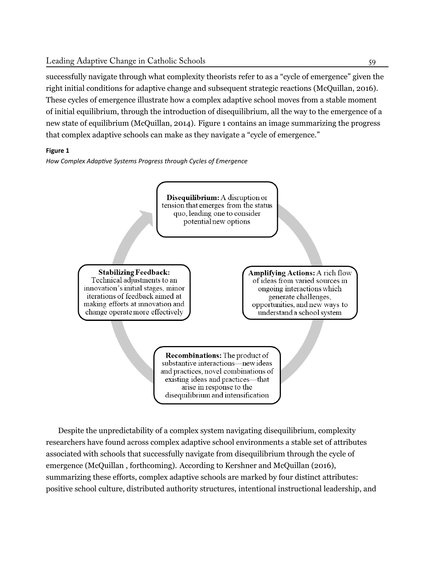successfully navigate through what complexity theorists refer to as a "cycle of emergence" given the right initial conditions for adaptive change and subsequent strategic reactions [\(McQuillan](#page-28-10), [2016](#page-28-10)). These cycles of emergence illustrate how a complex adaptive school moves from a stable moment of initial equilibrium, through the introduction of disequilibrium, all the way to the emergence of a new state of equilibrium [\(McQuillan](#page-28-8), [2014\)](#page-28-8). Figure 1 contains an image summarizing the progress that complex adaptive schools can make as they navigate a "cycle of emergence."

# **Figure 1**

How Complex Adaptive Systems Progress through Cycles of Emergence



Despite the unpredictability of a complex system navigating disequilibrium, complexity researchers have found across complex adaptive school environments a stable set of attributes associated with schools that successfully navigate from disequilibrium through the cycle of emergence ([McQuillan](#page-28-9) , forthcoming). According to Kershner and [McQuillan](#page-27-3) [\(2016](#page-27-3)), summarizing these efforts, complex adaptive schools are marked by four distinct attributes: positive school culture, distributed authority structures, intentional instructional leadership, and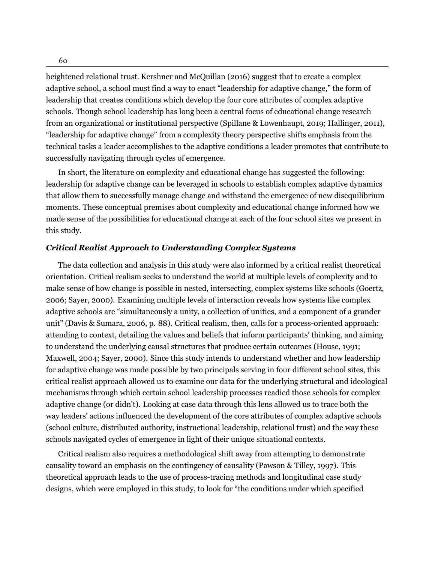heightened relational trust. Kershner and [McQuillan](#page-27-3) [\(2016\)](#page-27-3) suggest that to create a complex adaptive school, a school must find a way to enact "leadership for adaptive change," the form of leadership that creates conditions which develop the four core attributes of complex adaptive schools. Though school leadership has long been a central focus of educational change research from an organizational or institutional perspective (Spillane & [Lowenhaupt](#page-30-2), [2019](#page-30-2); [Hallinger](#page-27-6), [2011\)](#page-27-6), "leadership for adaptive change" from a complexity theory perspective shifts emphasis from the technical tasks a leader accomplishes to the adaptive conditions a leader promotes that contribute to successfully navigating through cycles of emergence.

In short, the literature on complexity and educational change has suggested the following: leadership for adaptive change can be leveraged in schools to establish complex adaptive dynamics that allow them to successfully manage change and withstand the emergence of new disequilibrium moments. These conceptual premises about complexity and educational change informed how we made sense of the possibilities for educational change at each of the four school sites we present in this study.

#### *Critical Realist Approach to Understanding Complex Systems*

The data collection and analysis in this study were also informed by a critical realist theoretical orientation. Critical realism seeks to understand the world at multiple levels of complexity and to make sense of how change is possible in nested, intersecting, complex systems like schools [\(Goertz,](#page-27-7) [2006](#page-27-7); [Sayer](#page-29-7), [2000\)](#page-29-7). Examining multiple levels of interaction reveals how systems like complex adaptive schools are "simultaneously a unity, a collection of unities, and a component of a grander unit" (Davis & Sumara, [2006](#page-26-7), p. 88). Critical realism, then, calls for a process-oriented approach: attending to context, detailing the values and beliefs that inform participants' thinking, and aiming to understand the underlying causal structures that produce certain outcomes ([House,](#page-27-8) [1991;](#page-27-8) [Maxwell](#page-28-12), [2004;](#page-28-12) [Sayer](#page-29-7), [2000](#page-29-7)). Since this study intends to understand whether and how leadership for adaptive change was made possible by two principals serving in four different school sites, this critical realist approach allowed us to examine our data for the underlying structural and ideological mechanisms through which certain school leadership processes readied those schools for complex adaptive change (or didn't). Looking at case data through this lens allowed us to trace both the way leaders' actions influenced the development of the core attributes of complex adaptive schools (school culture, distributed authority, instructional leadership, relational trust) and the way these schools navigated cycles of emergence in light of their unique situational contexts.

Critical realism also requires a methodological shift away from attempting to demonstrate causality toward an emphasis on the contingency of causality [\(Pawson](#page-29-8) & Tilley, [1997](#page-29-8)). This theoretical approach leads to the use of process-tracing methods and longitudinal case study designs, which were employed in this study, to look for "the conditions under which specified

60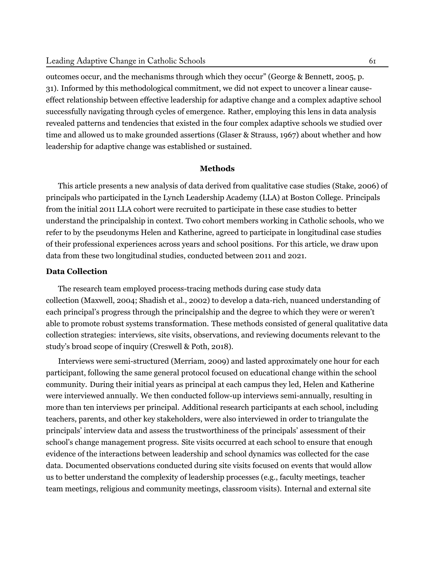outcomes occur, and the mechanisms through which they occur" (George & Bennett, [2005,](#page-27-9) p. 31). Informed by this methodological commitment, we did not expect to uncover a linear causeeffect relationship between effective leadership for adaptive change and a complex adaptive school successfully navigating through cycles of emergence. Rather, employing this lens in data analysis revealed patterns and tendencies that existed in the four complex adaptive schools we studied over time and allowed us to make grounded assertions [\(Glaser & Strauss, 1967\)](#page-27-10) about whether and how leadership for adaptive change was established or sustained.

#### **Methods**

This article presents a new analysis of data derived from qualitative case studies ([Stake](#page-30-3), [2006\)](#page-30-3) of principals who participated in the Lynch Leadership Academy (LLA) at Boston College. Principals from the initial 2011 LLA cohort were recruited to participate in these case studies to better understand the principalship in context. Two cohort members working in Catholic schools, who we refer to by the pseudonyms Helen and Katherine, agreed to participate in longitudinal case studies of their professional experiences across years and school positions. For this article, we draw upon data from these two longitudinal studies, conducted between 2011 and 2021.

## **Data Collection**

The research team employed process-tracing methods during case study data collection [\(Maxwell, 2004](#page-28-12); [Shadish et al.](#page-29-9), [2002\)](#page-29-9) to develop a data-rich, nuanced understanding of each principal's progress through the principalship and the degree to which they were or weren't able to promote robust systems transformation. These methods consisted of general qualitative data collection strategies: interviews, site visits, observations, and reviewing documents relevant to the study's broad scope of inquiry [\(Creswell & Poth](#page-26-9), [2018\)](#page-26-9).

Interviews were semi-structured ([Merriam](#page-28-13), [2009\)](#page-28-13) and lasted approximately one hour for each participant, following the same general protocol focused on educational change within the school community. During their initial years as principal at each campus they led, Helen and Katherine were interviewed annually. We then conducted follow-up interviews semi-annually, resulting in more than ten interviews per principal. Additional research participants at each school, including teachers, parents, and other key stakeholders, were also interviewed in order to triangulate the principals' interview data and assess the trustworthiness of the principals' assessment of their school's change management progress. Site visits occurred at each school to ensure that enough evidence of the interactions between leadership and school dynamics was collected for the case data. Documented observations conducted during site visits focused on events that would allow us to better understand the complexity of leadership processes (e.g., faculty meetings, teacher team meetings, religious and community meetings, classroom visits). Internal and external site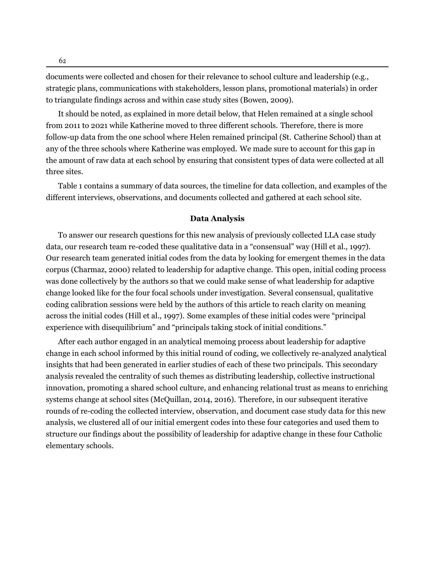62

documents were collected and chosen for their relevance to school culture and leadership (e.g., strategic plans, communications with stakeholders, lesson plans, promotional materials) in order to triangulate findings across and within case study sites [\(Bowen](#page-26-10), [2009](#page-26-10)).

It should be noted, as explained in more detail below, that Helen remained at a single school from 2011 to 2021 while Katherine moved to three different schools. Therefore, there is more follow-up data from the one school where Helen remained principal (St. Catherine School) than at any of the three schools where Katherine was employed. We made sure to account for this gap in the amount of raw data at each school by ensuring that consistent types of data were collected at all three sites.

Table 1 contains a summary of data sources, the timeline for data collection, and examples of the different interviews, observations, and documents collected and gathered at each school site.

#### **Data Analysis**

To answer our research questions for this new analysis of previously collected LLA case study data, our research team re-coded these qualitative data in a "consensual" way [\(Hill et al., 1997\)](#page-27-11). Our research team generated initial codes from the data by looking for emergent themes in the data corpus [\(Charmaz](#page-26-11), [2000](#page-26-11)) related to leadership for adaptive change. This open, initial coding process was done collectively by the authors so that we could make sense of what leadership for adaptive change looked like for the four focal schools under investigation. Several consensual, qualitative coding calibration sessions were held by the authors of this article to reach clarity on meaning across the initial codes ([Hill et al., 1997\)](#page-27-11). Some examples of these initial codes were "principal experience with disequilibrium" and "principals taking stock of initial conditions."

After each author engaged in an analytical memoing process about leadership for adaptive change in each school informed by this initial round of coding, we collectively re-analyzed analytical insights that had been generated in earlier studies of each of these two principals. This secondary analysis revealed the centrality of such themes as distributing leadership, collective instructional innovation, promoting a shared school culture, and enhancing relational trust as means to enriching systems change at school sites (McQuillan, 2014, 2016). Therefore, in our subsequent iterative rounds of re-coding the collected interview, observation, and document case study data for this new analysis, we clustered all of our initial emergent codes into these four categories and used them to structure our findings about the possibility of leadership for adaptive change in these four Catholic elementary schools.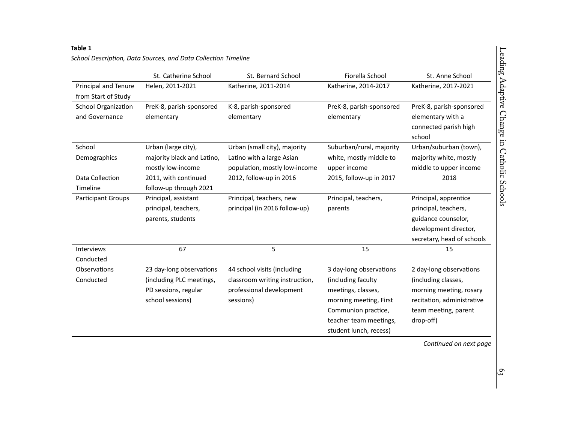# **Table <sup>1</sup>**

|                            | St. Catherine School       | St. Bernard School             | Fiorella School          | St. Anne School            |
|----------------------------|----------------------------|--------------------------------|--------------------------|----------------------------|
| Principal and Tenure       | Helen, 2011-2021           | Katherine, 2011-2014           | Katherine, 2014-2017     | Katherine, 2017-2021       |
| from Start of Study        |                            |                                |                          |                            |
| <b>School Organization</b> | PreK-8, parish-sponsored   | K-8, parish-sponsored          | PreK-8, parish-sponsored | PreK-8, parish-sponsored   |
| and Governance             | elementary                 | elementary                     | elementary               | elementary with a          |
|                            |                            |                                |                          | connected parish high      |
|                            |                            |                                |                          | school                     |
| School                     | Urban (large city),        | Urban (small city), majority   | Suburban/rural, majority | Urban/suburban (town),     |
| Demographics               | majority black and Latino, | Latino with a large Asian      | white, mostly middle to  | majority white, mostly     |
|                            | mostly low-income          | population, mostly low-income  | upper income             | middle to upper income     |
| Data Collection            | 2011, with continued       | 2012, follow-up in 2016        | 2015, follow-up in 2017  | 2018                       |
| Timeline                   | follow-up through 2021     |                                |                          |                            |
| <b>Participant Groups</b>  | Principal, assistant       | Principal, teachers, new       | Principal, teachers,     | Principal, apprentice      |
|                            | principal, teachers,       | principal (in 2016 follow-up)  | parents                  | principal, teachers,       |
|                            | parents, students          |                                |                          | guidance counselor,        |
|                            |                            |                                |                          | development director,      |
|                            |                            |                                |                          | secretary, head of schools |
| <b>Interviews</b>          | 67                         | 5                              | 15                       | 15                         |
| Conducted                  |                            |                                |                          |                            |
| Observations               | 23 day-long observations   | 44 school visits (including    | 3 day-long observations  | 2 day-long observations    |
| Conducted                  | (including PLC meetings,   | classroom writing instruction, | (including faculty       | (including classes,        |
|                            | PD sessions, regular       | professional development       | meetings, classes,       | morning meeting, rosary    |
|                            | school sessions)           | sessions)                      | morning meeting, First   | recitation, administrative |
|                            |                            |                                | Communion practice,      | team meeting, parent       |
|                            |                            |                                | teacher team meetings,   | drop-off)                  |
|                            |                            |                                | student lunch, recess)   |                            |

*School DescripƟon, Data Sources, and Data CollecƟon Timeline*

*ConƟnued on next page*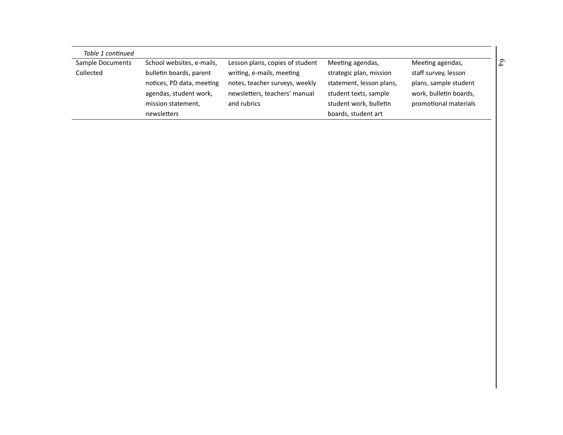| Table 1 continued |                           |                                 |                          |                        |
|-------------------|---------------------------|---------------------------------|--------------------------|------------------------|
| Sample Documents  | School websites, e-mails, | Lesson plans, copies of student | Meeting agendas,         | Meeting agendas,       |
| Collected         | bulletin boards, parent   | writing, e-mails, meeting       | strategic plan, mission  | staff survey, lesson   |
|                   | notices, PD data, meeting | notes, teacher surveys, weekly  | statement, lesson plans, | plans, sample student  |
|                   | agendas, student work,    | newsletters, teachers' manual   | student texts, sample    | work, bulletin boards, |
|                   | mission statement,        | and rubrics                     | student work, bulletin   | promotional materials  |
|                   | newsletters               |                                 | boards, student art      |                        |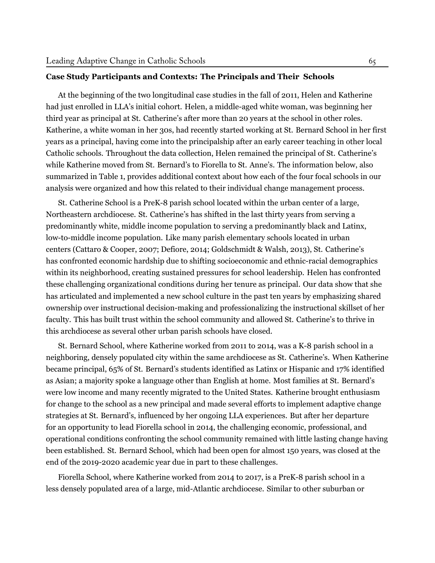#### **Case Study Participants and Contexts: The Principals and Their Schools**

At the beginning of the two longitudinal case studies in the fall of 2011, Helen and Katherine had just enrolled in LLA's initial cohort. Helen, a middle-aged white woman, was beginning her third year as principal at St. Catherine's after more than 20 years at the school in other roles. Katherine, a white woman in her 30s, had recently started working at St. Bernard School in her first years as a principal, having come into the principalship after an early career teaching in other local Catholic schools. Throughout the data collection, Helen remained the principal of St. Catherine's while Katherine moved from St. Bernard's to Fiorella to St. Anne's. The information below, also summarized in Table 1, provides additional context about how each of the four focal schools in our analysis were organized and how this related to their individual change management process.

St. Catherine School is a PreK-8 parish school located within the urban center of a large, Northeastern archdiocese. St. Catherine's has shifted in the last thirty years from serving a predominantly white, middle income population to serving a predominantly black and Latinx, low-to-middle income population. Like many parish elementary schools located in urban centers [\(Cattaro & Cooper](#page-26-5), [2007;](#page-26-5) [Defiore](#page-26-12), [2014;](#page-26-12) [Goldschmidt & Walsh](#page-27-2), [2013](#page-27-2)), St. Catherine's has confronted economic hardship due to shifting socioeconomic and ethnic-racial demographics within its neighborhood, creating sustained pressures for school leadership. Helen has confronted these challenging organizational conditions during her tenure as principal. Our data show that she has articulated and implemented a new school culture in the past ten years by emphasizing shared ownership over instructional decision-making and professionalizing the instructional skillset of her faculty. This has built trust within the school community and allowed St. Catherine's to thrive in this archdiocese as several other urban parish schools have closed.

St. Bernard School, where Katherine worked from 2011 to 2014, was a K-8 parish school in a neighboring, densely populated city within the same archdiocese as St. Catherine's. When Katherine became principal, 65% of St. Bernard's students identified as Latinx or Hispanic and 17% identified as Asian; a majority spoke a language other than English at home. Most families at St. Bernard's were low income and many recently migrated to the United States. Katherine brought enthusiasm for change to the school as a new principal and made several efforts to implement adaptive change strategies at St. Bernard's, influenced by her ongoing LLA experiences. But after her departure for an opportunity to lead Fiorella school in 2014, the challenging economic, professional, and operational conditions confronting the school community remained with little lasting change having been established. St. Bernard School, which had been open for almost 150 years, was closed at the end of the 2019-2020 academic year due in part to these challenges.

Fiorella School, where Katherine worked from 2014 to 2017, is a PreK-8 parish school in a less densely populated area of a large, mid-Atlantic archdiocese. Similar to other suburban or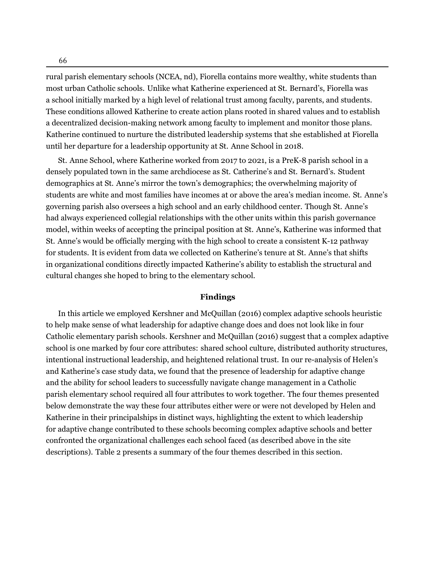rural parish elementary schools (NCEA, [nd\)](#page-28-0), Fiorella contains more wealthy, white students than most urban Catholic schools. Unlike what Katherine experienced at St. Bernard's, Fiorella was a school initially marked by a high level of relational trust among faculty, parents, and students. These conditions allowed Katherine to create action plans rooted in shared values and to establish a decentralized decision-making network among faculty to implement and monitor those plans. Katherine continued to nurture the distributed leadership systems that she established at Fiorella until her departure for a leadership opportunity at St. Anne School in 2018.

St. Anne School, where Katherine worked from 2017 to 2021, is a PreK-8 parish school in a densely populated town in the same archdiocese as St. Catherine's and St. Bernard's. Student demographics at St. Anne's mirror the town's demographics; the overwhelming majority of students are white and most families have incomes at or above the area's median income. St. Anne's governing parish also oversees a high school and an early childhood center. Though St. Anne's had always experienced collegial relationships with the other units within this parish governance model, within weeks of accepting the principal position at St. Anne's, Katherine was informed that St. Anne's would be officially merging with the high school to create a consistent K-12 pathway for students. It is evident from data we collected on Katherine's tenure at St. Anne's that shifts in organizational conditions directly impacted Katherine's ability to establish the structural and cultural changes she hoped to bring to the elementary school.

#### **Findings**

In this article we employed Kershner and [McQuillan](#page-27-3) ([2016\)](#page-27-3) complex adaptive schools heuristic to help make sense of what leadership for adaptive change does and does not look like in four Catholic elementary parish schools. Kershner and [McQuillan](#page-27-3) ([2016](#page-27-3)) suggest that a complex adaptive school is one marked by four core attributes: shared school culture, distributed authority structures, intentional instructional leadership, and heightened relational trust. In our re-analysis of Helen's and Katherine's case study data, we found that the presence of leadership for adaptive change and the ability for school leaders to successfully navigate change management in a Catholic parish elementary school required all four attributes to work together. The four themes presented below demonstrate the way these four attributes either were or were not developed by Helen and Katherine in their principalships in distinct ways, highlighting the extent to which leadership for adaptive change contributed to these schools becoming complex adaptive schools and better confronted the organizational challenges each school faced (as described above in the site descriptions). Table 2 presents a summary of the four themes described in this section.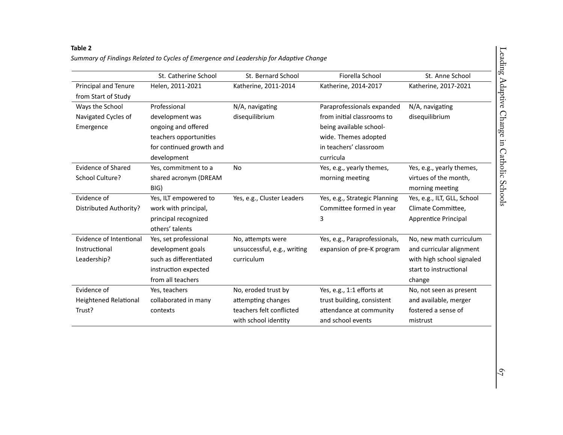# **Table <sup>2</sup>** Summary of Findings Related to Cycles of Emergence and Leadership for Adaptive Change

|                               | St. Catherine School     | St. Bernard School          | Fiorella School               | St. Anne School             |
|-------------------------------|--------------------------|-----------------------------|-------------------------------|-----------------------------|
| Principal and Tenure          | Helen, 2011-2021         | Katherine, 2011-2014        | Katherine, 2014-2017          | Katherine, 2017-2021        |
| from Start of Study           |                          |                             |                               |                             |
| Ways the School               | Professional             | N/A, navigating             | Paraprofessionals expanded    | N/A, navigating             |
| Navigated Cycles of           | development was          | disequilibrium              | from initial classrooms to    | disequilibrium              |
| Emergence                     | ongoing and offered      |                             | being available school-       |                             |
|                               | teachers opportunities   |                             | wide. Themes adopted          |                             |
|                               | for continued growth and |                             | in teachers' classroom        |                             |
|                               | development              |                             | curricula                     |                             |
| <b>Evidence of Shared</b>     | Yes, commitment to a     | <b>No</b>                   | Yes, e.g., yearly themes,     | Yes, e.g., yearly themes,   |
| School Culture?               | shared acronym (DREAM    |                             | morning meeting               | virtues of the month,       |
|                               | BIG)                     |                             |                               | morning meeting             |
| Evidence of                   | Yes, ILT empowered to    | Yes, e.g., Cluster Leaders  | Yes, e.g., Strategic Planning | Yes, e.g., ILT, GLL, School |
| <b>Distributed Authority?</b> | work with principal,     |                             | Committee formed in year      | Climate Committee,          |
|                               | principal recognized     |                             | 3                             | <b>Apprentice Principal</b> |
|                               | others' talents          |                             |                               |                             |
| Evidence of Intentional       | Yes, set professional    | No, attempts were           | Yes, e.g., Paraprofessionals, | No, new math curriculum     |
| Instructional                 | development goals        | unsuccessful, e.g., writing | expansion of pre-K program    | and curricular alignment    |
| Leadership?                   | such as differentiated   | curriculum                  |                               | with high school signaled   |
|                               | instruction expected     |                             |                               | start to instructional      |
|                               | from all teachers        |                             |                               | change                      |
| Evidence of                   | Yes, teachers            | No, eroded trust by         | Yes, e.g., 1:1 efforts at     | No, not seen as present     |
| <b>Heightened Relational</b>  | collaborated in many     | attempting changes          | trust building, consistent    | and available, merger       |
| Trust?                        | contexts                 | teachers felt conflicted    | attendance at community       | fostered a sense of         |
|                               |                          | with school identity        | and school events             | mistrust                    |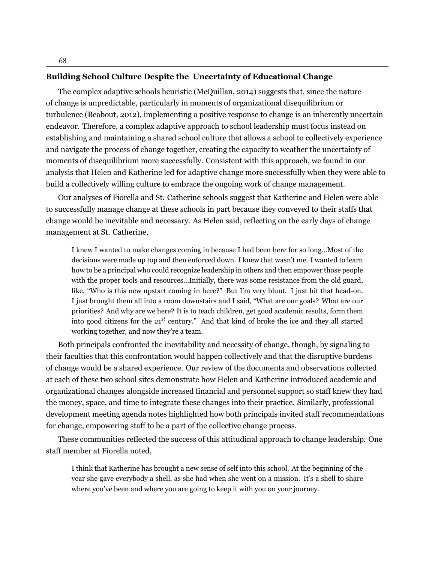#### **Building School Culture Despite the Uncertainty of Educational Change**

The complex adaptive schools heuristic ([McQuillan,](#page-28-8) [2014\)](#page-28-8) suggests that, since the nature of change is unpredictable, particularly in moments of organizational disequilibrium or turbulence [\(Beabout](#page-26-4), [2012\)](#page-26-4), implementing a positive response to change is an inherently uncertain endeavor. Therefore, a complex adaptive approach to school leadership must focus instead on establishing and maintaining a shared school culture that allows a school to collectively experience and navigate the process of change together, creating the capacity to weather the uncertainty of moments of disequilibrium more successfully. Consistent with this approach, we found in our analysis that Helen and Katherine led for adaptive change more successfully when they were able to build a collectively willing culture to embrace the ongoing work of change management.

Our analyses of Fiorella and St. Catherine schools suggest that Katherine and Helen were able to successfully manage change at these schools in part because they conveyed to their staffs that change would be inevitable and necessary. As Helen said, reflecting on the early days of change management at St. Catherine,

I knew I wanted to make changes coming in because I had been here for so long…Most of the decisions were made up top and then enforced down. I knew that wasn't me. I wanted to learn how to be a principal who could recognize leadership in others and then empower those people with the proper tools and resources…Initially, there was some resistance from the old guard, like, "Who is this new upstart coming in here?" But I'm very blunt. I just hit that head-on. I just brought them all into a room downstairs and I said, "What are our goals? What are our priorities? And why are we here? It is to teach children, get good academic results, form them into good citizens for the 21*st* century." And that kind of broke the ice and they all started working together, and now they're a team.

Both principals confronted the inevitability and necessity of change, though, by signaling to their faculties that this confrontation would happen collectively and that the disruptive burdens of change would be a shared experience. Our review of the documents and observations collected at each of these two school sites demonstrate how Helen and Katherine introduced academic and organizational changes alongside increased financial and personnel support so staff knew they had the money, space, and time to integrate these changes into their practice. Similarly, professional development meeting agenda notes highlighted how both principals invited staff recommendations for change, empowering staff to be a part of the collective change process.

These communities reflected the success of this attitudinal approach to change leadership. One staff member at Fiorella noted,

I think that Katherine has brought a new sense of self into this school. At the beginning of the year she gave everybody a shell, as she had when she went on a mission. It's a shell to share where you've been and where you are going to keep it with you on your journey.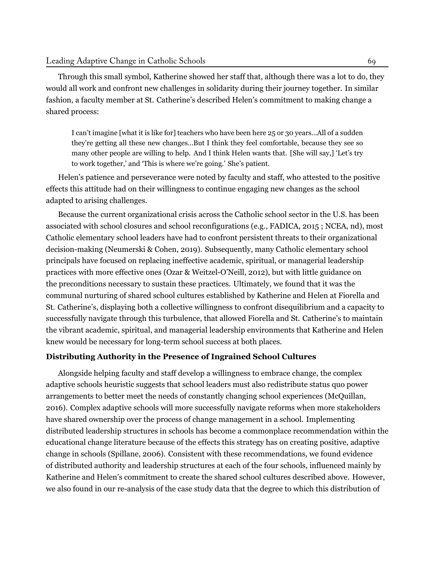Through this small symbol, Katherine showed her staff that, although there was a lot to do, they would all work and confront new challenges in solidarity during their journey together. In similar fashion, a faculty member at St. Catherine's described Helen's commitment to making change a shared process:

I can't imagine [what it is like for] teachers who have been here 25 or 30 years…All of a sudden they're getting all these new changes…But I think they feel comfortable, because they see so many other people are willing to help. And I think Helen wants that. [She will say,] 'Let's try to work together,' and 'This is where we're going.' She's patient.

Helen's patience and perseverance were noted by faculty and staff, who attested to the positive effects this attitude had on their willingness to continue engaging new changes as the school adapted to arising challenges.

Because the current organizational crisis across the Catholic school sector in the U.S. has been associated with school closures and school reconfigurations (e.g., FADICA, [2015](#page-26-3) ; NCEA, [nd\)](#page-28-0), most Catholic elementary school leaders have had to confront persistent threats to their organizational decision-making ([Neumerski](#page-28-5) & Cohen, [2019\)](#page-28-5). Subsequently, many Catholic elementary school principals have focused on replacing ineffective academic, spiritual, or managerial leadership practices with more effective ones (Ozar & [Weitzel](#page-29-10)-O'Neill, [2012](#page-29-10)), but with little guidance on the preconditions necessary to sustain these practices. Ultimately, we found that it was the communal nurturing of shared school cultures established by Katherine and Helen at Fiorella and St. Catherine's, displaying both a collective willingness to confront disequilibrium and a capacity to successfully navigate through this turbulence, that allowed Fiorella and St. Catherine's to maintain the vibrant academic, spiritual, and managerial leadership environments that Katherine and Helen knew would be necessary for long-term school success at both places.

#### **Distributing Authority in the Presence of Ingrained School Cultures**

Alongside helping faculty and staff develop a willingness to embrace change, the complex adaptive schools heuristic suggests that school leaders must also redistribute status quo power arrangements to better meet the needs of constantly changing school experiences [\(McQuillan](#page-28-10), [2016](#page-28-10)). Complex adaptive schools will more successfully navigate reforms when more stakeholders have shared ownership over the process of change management in a school. Implementing distributed leadership structures in schools has become a commonplace recommendation within the educational change literature because of the effects this strategy has on creating positive, adaptive change in schools [\(Spillane](#page-30-4), [2006](#page-30-4)). Consistent with these recommendations, we found evidence of distributed authority and leadership structures at each of the four schools, influenced mainly by Katherine and Helen's commitment to create the shared school cultures described above. However, we also found in our re-analysis of the case study data that the degree to which this distribution of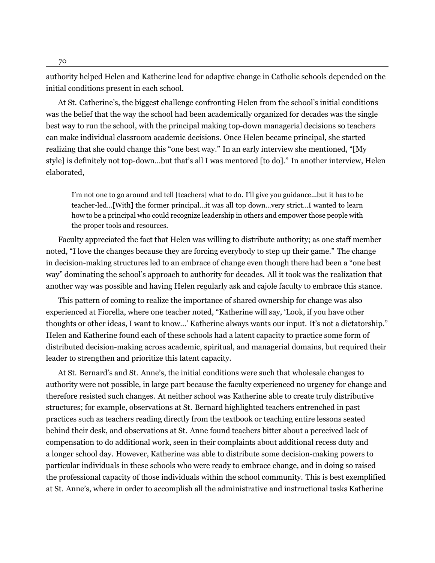authority helped Helen and Katherine lead for adaptive change in Catholic schools depended on the initial conditions present in each school.

At St. Catherine's, the biggest challenge confronting Helen from the school's initial conditions was the belief that the way the school had been academically organized for decades was the single best way to run the school, with the principal making top-down managerial decisions so teachers can make individual classroom academic decisions. Once Helen became principal, she started realizing that she could change this "one best way." In an early interview she mentioned, "[My style] is definitely not top-down…but that's all I was mentored [to do]." In another interview, Helen elaborated,

I'm not one to go around and tell [teachers] what to do. I'll give you guidance…but it has to be teacher-led…[With] the former principal…it was all top down…very strict…I wanted to learn how to be a principal who could recognize leadership in others and empower those people with the proper tools and resources.

Faculty appreciated the fact that Helen was willing to distribute authority; as one staff member noted, "I love the changes because they are forcing everybody to step up their game." The change in decision-making structures led to an embrace of change even though there had been a "one best way" dominating the school's approach to authority for decades. All it took was the realization that another way was possible and having Helen regularly ask and cajole faculty to embrace this stance.

This pattern of coming to realize the importance of shared ownership for change was also experienced at Fiorella, where one teacher noted, "Katherine will say, 'Look, if you have other thoughts or other ideas, I want to know…' Katherine always wants our input. It's not a dictatorship." Helen and Katherine found each of these schools had a latent capacity to practice some form of distributed decision-making across academic, spiritual, and managerial domains, but required their leader to strengthen and prioritize this latent capacity.

At St. Bernard's and St. Anne's, the initial conditions were such that wholesale changes to authority were not possible, in large part because the faculty experienced no urgency for change and therefore resisted such changes. At neither school was Katherine able to create truly distributive structures; for example, observations at St. Bernard highlighted teachers entrenched in past practices such as teachers reading directly from the textbook or teaching entire lessons seated behind their desk, and observations at St. Anne found teachers bitter about a perceived lack of compensation to do additional work, seen in their complaints about additional recess duty and a longer school day. However, Katherine was able to distribute some decision-making powers to particular individuals in these schools who were ready to embrace change, and in doing so raised the professional capacity of those individuals within the school community. This is best exemplified at St. Anne's, where in order to accomplish all the administrative and instructional tasks Katherine

70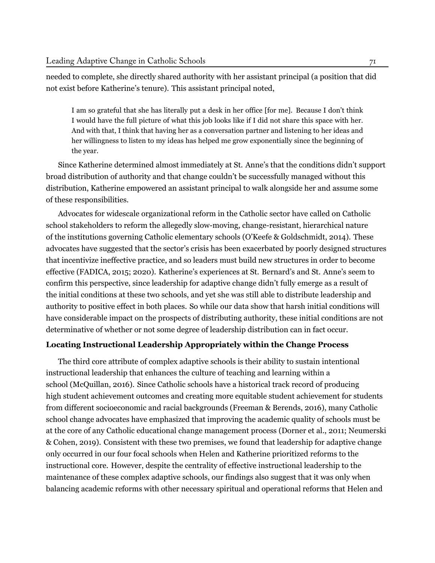needed to complete, she directly shared authority with her assistant principal (a position that did not exist before Katherine's tenure). This assistant principal noted,

I am so grateful that she has literally put a desk in her office [for me]. Because I don't think I would have the full picture of what this job looks like if I did not share this space with her. And with that, I think that having her as a conversation partner and listening to her ideas and her willingness to listen to my ideas has helped me grow exponentially since the beginning of the year.

Since Katherine determined almost immediately at St. Anne's that the conditions didn't support broad distribution of authority and that change couldn't be successfully managed without this distribution, Katherine empowered an assistant principal to walk alongside her and assume some of these responsibilities.

Advocates for widescale organizational reform in the Catholic sector have called on Catholic school stakeholders to reform the allegedly slow-moving, change-resistant, hierarchical nature of the institutions governing Catholic elementary schools [\(O'Keefe & Goldschmidt, 2014\)](#page-29-1). These advocates have suggested that the sector's crisis has been exacerbated by poorly designed structures that incentivize ineffective practice, and so leaders must build new structures in order to become effective (FADICA, [2015](#page-26-3); [2020\)](#page-27-1). Katherine's experiences at St. Bernard's and St. Anne's seem to confirm this perspective, since leadership for adaptive change didn't fully emerge as a result of the initial conditions at these two schools, and yet she was still able to distribute leadership and authority to positive effect in both places. So while our data show that harsh initial conditions will have considerable impact on the prospects of distributing authority, these initial conditions are not determinative of whether or not some degree of leadership distribution can in fact occur.

#### **Locating Instructional Leadership Appropriately within the Change Process**

The third core attribute of complex adaptive schools is their ability to sustain intentional instructional leadership that enhances the culture of teaching and learning within a school [\(McQuillan](#page-28-10), [2016](#page-28-10)). Since Catholic schools have a historical track record of producing high student achievement outcomes and creating more equitable student achievement for students from different socioeconomic and racial backgrounds ([Freeman & Berends](#page-27-12), [2016\)](#page-27-12), many Catholic school change advocates have emphasized that improving the academic quality of schools must be at the core of any Catholic educational change management process [\(Dorner et al., 2011;](#page-26-6) [Neumerski](#page-28-5) [& Cohen](#page-28-5), [2019](#page-28-5)). Consistent with these two premises, we found that leadership for adaptive change only occurred in our four focal schools when Helen and Katherine prioritized reforms to the instructional core. However, despite the centrality of effective instructional leadership to the maintenance of these complex adaptive schools, our findings also suggest that it was only when balancing academic reforms with other necessary spiritual and operational reforms that Helen and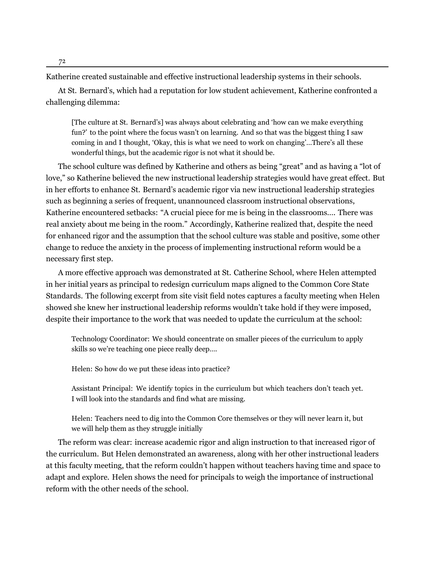Katherine created sustainable and effective instructional leadership systems in their schools.

At St. Bernard's, which had a reputation for low student achievement, Katherine confronted a challenging dilemma:

[The culture at St. Bernard's] was always about celebrating and 'how can we make everything fun?' to the point where the focus wasn't on learning. And so that was the biggest thing I saw coming in and I thought, 'Okay, this is what we need to work on changing'…There's all these wonderful things, but the academic rigor is not what it should be.

The school culture was defined by Katherine and others as being "great" and as having a "lot of love," so Katherine believed the new instructional leadership strategies would have great effect. But in her efforts to enhance St. Bernard's academic rigor via new instructional leadership strategies such as beginning a series of frequent, unannounced classroom instructional observations, Katherine encountered setbacks: "A crucial piece for me is being in the classrooms…. There was real anxiety about me being in the room." Accordingly, Katherine realized that, despite the need for enhanced rigor and the assumption that the school culture was stable and positive, some other change to reduce the anxiety in the process of implementing instructional reform would be a necessary first step.

A more effective approach was demonstrated at St. Catherine School, where Helen attempted in her initial years as principal to redesign curriculum maps aligned to the Common Core State Standards. The following excerpt from site visit field notes captures a faculty meeting when Helen showed she knew her instructional leadership reforms wouldn't take hold if they were imposed, despite their importance to the work that was needed to update the curriculum at the school:

Technology Coordinator: We should concentrate on smaller pieces of the curriculum to apply skills so we're teaching one piece really deep….

Helen: So how do we put these ideas into practice?

Assistant Principal: We identify topics in the curriculum but which teachers don't teach yet. I will look into the standards and find what are missing.

Helen: Teachers need to dig into the Common Core themselves or they will never learn it, but we will help them as they struggle initially

The reform was clear: increase academic rigor and align instruction to that increased rigor of the curriculum. But Helen demonstrated an awareness, along with her other instructional leaders at this faculty meeting, that the reform couldn't happen without teachers having time and space to adapt and explore. Helen shows the need for principals to weigh the importance of instructional reform with the other needs of the school.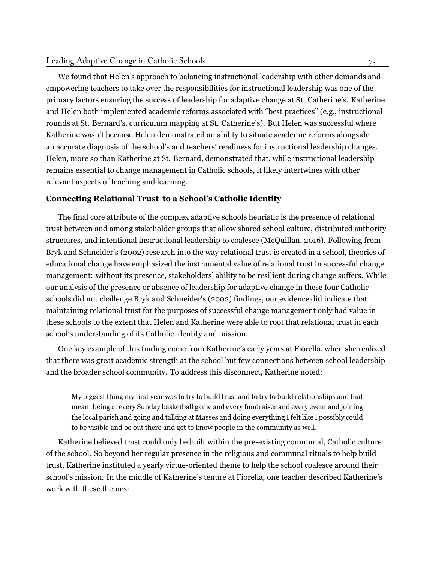#### Leading Adaptive Change in Catholic Schools

We found that Helen's approach to balancing instructional leadership with other demands and empowering teachers to take over the responsibilities for instructional leadership was one of the primary factors ensuring the success of leadership for adaptive change at St. Catherine's. Katherine and Helen both implemented academic reforms associated with "best practices" (e.g., instructional rounds at St. Bernard's, curriculum mapping at St. Catherine's). But Helen was successful where Katherine wasn't because Helen demonstrated an ability to situate academic reforms alongside an accurate diagnosis of the school's and teachers' readiness for instructional leadership changes. Helen, more so than Katherine at St. Bernard, demonstrated that, while instructional leadership remains essential to change management in Catholic schools, it likely intertwines with other relevant aspects of teaching and learning.

## **Connecting Relational Trust to a School's Catholic Identity**

The final core attribute of the complex adaptive schools heuristic is the presence of relational trust between and among stakeholder groups that allow shared school culture, distributed authority structures, and intentional instructional leadership to coalesce ([McQuillan](#page-28-10), [2016\)](#page-28-10). Following from Bryk and Schneider's [\(2002\)](#page-26-13) research into the way relational trust is created in a school, theories of educational change have emphasized the instrumental value of relational trust in successful change management: without its presence, stakeholders' ability to be resilient during change suffers. While our analysis of the presence or absence of leadership for adaptive change in these four Catholic schools did not challenge Bryk and Schneider's ([2002](#page-26-13)) findings, our evidence did indicate that maintaining relational trust for the purposes of successful change management only had value in these schools to the extent that Helen and Katherine were able to root that relational trust in each school's understanding of its Catholic identity and mission.

One key example of this finding came from Katherine's early years at Fiorella, when she realized that there was great academic strength at the school but few connections between school leadership and the broader school community. To address this disconnect, Katherine noted:

My biggest thing my first year was to try to build trust and to try to build relationships and that meant being at every Sunday basketball game and every fundraiser and every event and joining the local parish and going and talking at Masses and doing everything I felt like I possibly could to be visible and be out there and get to know people in the community as well.

Katherine believed trust could only be built within the pre-existing communal, Catholic culture of the school. So beyond her regular presence in the religious and communal rituals to help build trust, Katherine instituted a yearly virtue-oriented theme to help the school coalesce around their school's mission. In the middle of Katherine's tenure at Fiorella, one teacher described Katherine's work with these themes: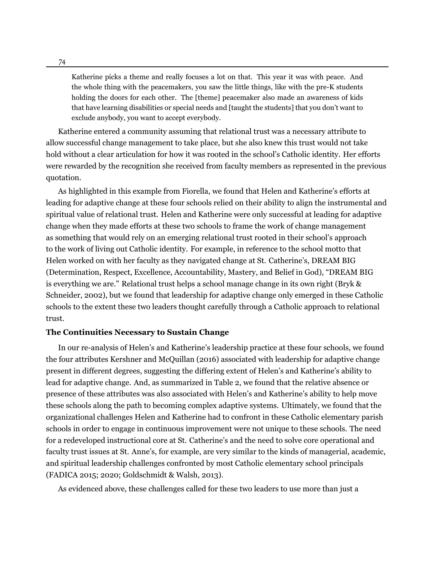Katherine picks a theme and really focuses a lot on that. This year it was with peace. And the whole thing with the peacemakers, you saw the little things, like with the pre-K students holding the doors for each other. The [theme] peacemaker also made an awareness of kids that have learning disabilities or special needs and [taught the students] that you don't want to exclude anybody, you want to accept everybody.

Katherine entered a community assuming that relational trust was a necessary attribute to allow successful change management to take place, but she also knew this trust would not take hold without a clear articulation for how it was rooted in the school's Catholic identity. Her efforts were rewarded by the recognition she received from faculty members as represented in the previous quotation.

As highlighted in this example from Fiorella, we found that Helen and Katherine's efforts at leading for adaptive change at these four schools relied on their ability to align the instrumental and spiritual value of relational trust. Helen and Katherine were only successful at leading for adaptive change when they made efforts at these two schools to frame the work of change management as something that would rely on an emerging relational trust rooted in their school's approach to the work of living out Catholic identity. For example, in reference to the school motto that Helen worked on with her faculty as they navigated change at St. Catherine's, DREAM BIG (Determination, Respect, Excellence, Accountability, Mastery, and Belief in God), "DREAM BIG is everything we are." Relational trust helps a school manage change in its own right ([Bryk](#page-26-13) & [Schneider](#page-26-13), [2002](#page-26-13)), but we found that leadership for adaptive change only emerged in these Catholic schools to the extent these two leaders thought carefully through a Catholic approach to relational trust.

#### **The Continuities Necessary to Sustain Change**

In our re-analysis of Helen's and Katherine's leadership practice at these four schools, we found the four attributes Kershner and [McQuillan](#page-27-3) ([2016](#page-27-3)) associated with leadership for adaptive change present in different degrees, suggesting the differing extent of Helen's and Katherine's ability to lead for adaptive change. And, as summarized in Table 2, we found that the relative absence or presence of these attributes was also associated with Helen's and Katherine's ability to help move these schools along the path to becoming complex adaptive systems. Ultimately, we found that the organizational challenges Helen and Katherine had to confront in these Catholic elementary parish schools in order to engage in continuous improvement were not unique to these schools. The need for a redeveloped instructional core at St. Catherine's and the need to solve core operational and faculty trust issues at St. Anne's, for example, are very similar to the kinds of managerial, academic, and spiritual leadership challenges confronted by most Catholic elementary school principals (FADICA [2015](#page-26-3); [2020;](#page-27-1) [Goldschmidt](#page-27-2) & Walsh, [2013](#page-27-2)).

As evidenced above, these challenges called for these two leaders to use more than just a

74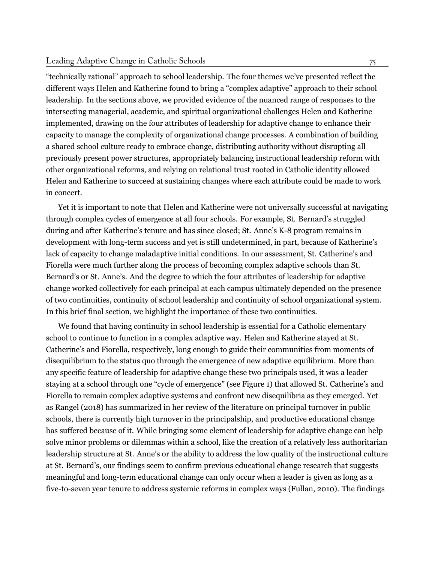#### Leading Adaptive Change in Catholic Schools

"technically rational" approach to school leadership. The four themes we've presented reflect the different ways Helen and Katherine found to bring a "complex adaptive" approach to their school leadership. In the sections above, we provided evidence of the nuanced range of responses to the intersecting managerial, academic, and spiritual organizational challenges Helen and Katherine implemented, drawing on the four attributes of leadership for adaptive change to enhance their capacity to manage the complexity of organizational change processes. A combination of building a shared school culture ready to embrace change, distributing authority without disrupting all previously present power structures, appropriately balancing instructional leadership reform with other organizational reforms, and relying on relational trust rooted in Catholic identity allowed Helen and Katherine to succeed at sustaining changes where each attribute could be made to work in concert.

Yet it is important to note that Helen and Katherine were not universally successful at navigating through complex cycles of emergence at all four schools. For example, St. Bernard's struggled during and after Katherine's tenure and has since closed; St. Anne's K-8 program remains in development with long-term success and yet is still undetermined, in part, because of Katherine's lack of capacity to change maladaptive initial conditions. In our assessment, St. Catherine's and Fiorella were much further along the process of becoming complex adaptive schools than St. Bernard's or St. Anne's. And the degree to which the four attributes of leadership for adaptive change worked collectively for each principal at each campus ultimately depended on the presence of two continuities, continuity of school leadership and continuity of school organizational system. In this brief final section, we highlight the importance of these two continuities.

We found that having continuity in school leadership is essential for a Catholic elementary school to continue to function in a complex adaptive way. Helen and Katherine stayed at St. Catherine's and Fiorella, respectively, long enough to guide their communities from moments of disequilibrium to the status quo through the emergence of new adaptive equilibrium. More than any specific feature of leadership for adaptive change these two principals used, it was a leader staying at a school through one "cycle of emergence" (see Figure 1) that allowed St. Catherine's and Fiorella to remain complex adaptive systems and confront new disequilibria as they emerged. Yet as [Rangel](#page-29-11) ([2018\)](#page-29-11) has summarized in her review of the literature on principal turnover in public schools, there is currently high turnover in the principalship, and productive educational change has suffered because of it. While bringing some element of leadership for adaptive change can help solve minor problems or dilemmas within a school, like the creation of a relatively less authoritarian leadership structure at St. Anne's or the ability to address the low quality of the instructional culture at St. Bernard's, our findings seem to confirm previous educational change research that suggests meaningful and long-term educational change can only occur when a leader is given as long as a five-to-seven year tenure to address systemic reforms in complex ways ([Fullan, 2010\)](#page-27-13). The findings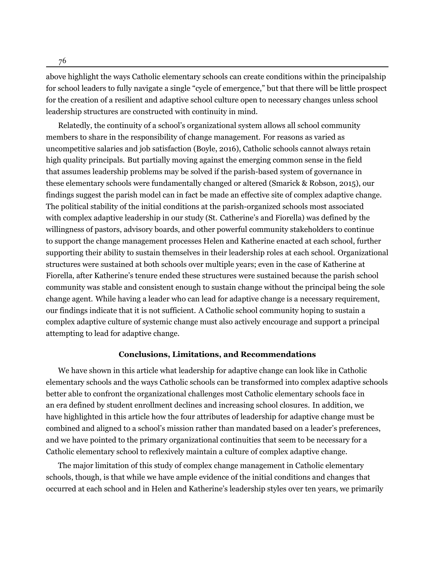76

above highlight the ways Catholic elementary schools can create conditions within the principalship for school leaders to fully navigate a single "cycle of emergence," but that there will be little prospect for the creation of a resilient and adaptive school culture open to necessary changes unless school leadership structures are constructed with continuity in mind.

Relatedly, the continuity of a school's organizational system allows all school community members to share in the responsibility of change management. For reasons as varied as uncompetitive salaries and job satisfaction [\(Boyle](#page-26-2), [2016](#page-26-2)), Catholic schools cannot always retain high quality principals. But partially moving against the emerging common sense in the field that assumes leadership problems may be solved if the parish-based system of governance in these elementary schools were fundamentally changed or altered ([Smarick & Robson](#page-30-0), [2015\)](#page-30-0), our findings suggest the parish model can in fact be made an effective site of complex adaptive change. The political stability of the initial conditions at the parish-organized schools most associated with complex adaptive leadership in our study (St. Catherine's and Fiorella) was defined by the willingness of pastors, advisory boards, and other powerful community stakeholders to continue to support the change management processes Helen and Katherine enacted at each school, further supporting their ability to sustain themselves in their leadership roles at each school. Organizational structures were sustained at both schools over multiple years; even in the case of Katherine at Fiorella, after Katherine's tenure ended these structures were sustained because the parish school community was stable and consistent enough to sustain change without the principal being the sole change agent. While having a leader who can lead for adaptive change is a necessary requirement, our findings indicate that it is not sufficient. A Catholic school community hoping to sustain a complex adaptive culture of systemic change must also actively encourage and support a principal attempting to lead for adaptive change.

#### **Conclusions, Limitations, and Recommendations**

We have shown in this article what leadership for adaptive change can look like in Catholic elementary schools and the ways Catholic schools can be transformed into complex adaptive schools better able to confront the organizational challenges most Catholic elementary schools face in an era defined by student enrollment declines and increasing school closures. In addition, we have highlighted in this article how the four attributes of leadership for adaptive change must be combined and aligned to a school's mission rather than mandated based on a leader's preferences, and we have pointed to the primary organizational continuities that seem to be necessary for a Catholic elementary school to reflexively maintain a culture of complex adaptive change.

The major limitation of this study of complex change management in Catholic elementary schools, though, is that while we have ample evidence of the initial conditions and changes that occurred at each school and in Helen and Katherine's leadership styles over ten years, we primarily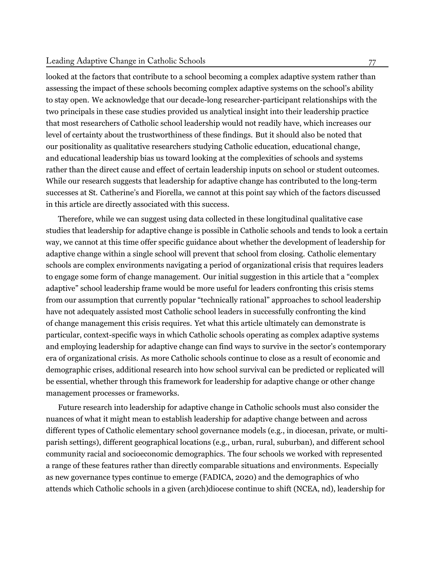#### Leading Adaptive Change in Catholic Schools

looked at the factors that contribute to a school becoming a complex adaptive system rather than assessing the impact of these schools becoming complex adaptive systems on the school's ability to stay open. We acknowledge that our decade-long researcher-participant relationships with the two principals in these case studies provided us analytical insight into their leadership practice that most researchers of Catholic school leadership would not readily have, which increases our level of certainty about the trustworthiness of these findings. But it should also be noted that our positionality as qualitative researchers studying Catholic education, educational change, and educational leadership bias us toward looking at the complexities of schools and systems rather than the direct cause and effect of certain leadership inputs on school or student outcomes. While our research suggests that leadership for adaptive change has contributed to the long-term successes at St. Catherine's and Fiorella, we cannot at this point say which of the factors discussed in this article are directly associated with this success.

Therefore, while we can suggest using data collected in these longitudinal qualitative case studies that leadership for adaptive change is possible in Catholic schools and tends to look a certain way, we cannot at this time offer specific guidance about whether the development of leadership for adaptive change within a single school will prevent that school from closing. Catholic elementary schools are complex environments navigating a period of organizational crisis that requires leaders to engage some form of change management. Our initial suggestion in this article that a "complex adaptive" school leadership frame would be more useful for leaders confronting this crisis stems from our assumption that currently popular "technically rational" approaches to school leadership have not adequately assisted most Catholic school leaders in successfully confronting the kind of change management this crisis requires. Yet what this article ultimately can demonstrate is particular, context-specific ways in which Catholic schools operating as complex adaptive systems and employing leadership for adaptive change can find ways to survive in the sector's contemporary era of organizational crisis. As more Catholic schools continue to close as a result of economic and demographic crises, additional research into how school survival can be predicted or replicated will be essential, whether through this framework for leadership for adaptive change or other change management processes or frameworks.

Future research into leadership for adaptive change in Catholic schools must also consider the nuances of what it might mean to establish leadership for adaptive change between and across different types of Catholic elementary school governance models (e.g., in diocesan, private, or multiparish settings), different geographical locations (e.g., urban, rural, suburban), and different school community racial and socioeconomic demographics. The four schools we worked with represented a range of these features rather than directly comparable situations and environments. Especially as new governance types continue to emerge (FADICA, [2020\)](#page-27-1) and the demographics of who attends which Catholic schools in a given (arch)diocese continue to shift (NCEA, [nd](#page-28-0)), leadership for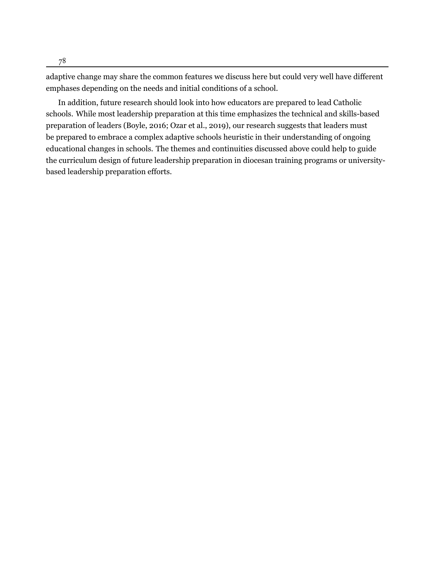adaptive change may share the common features we discuss here but could very well have different emphases depending on the needs and initial conditions of a school.

In addition, future research should look into how educators are prepared to lead Catholic schools. While most leadership preparation at this time emphasizes the technical and skills-based preparation of leaders ([Boyle,](#page-26-2) [2016;](#page-26-2) [Ozar et al.,](#page-29-3) [2019\)](#page-29-3), our research suggests that leaders must be prepared to embrace a complex adaptive schools heuristic in their understanding of ongoing educational changes in schools. The themes and continuities discussed above could help to guide the curriculum design of future leadership preparation in diocesan training programs or universitybased leadership preparation efforts.

78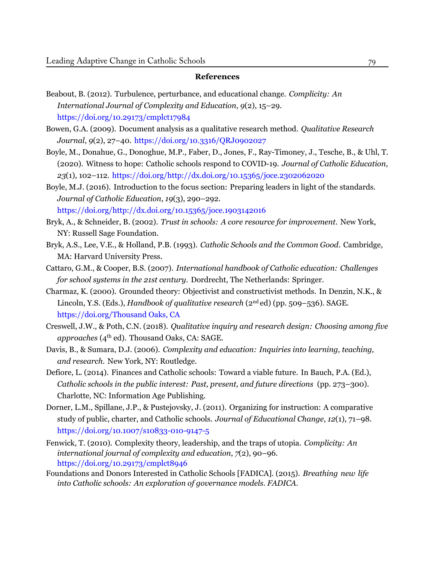#### **References**

- <span id="page-26-4"></span>Beabout, B. (2012). Turbulence, perturbance, and educational change. *Complicity: An International Journal of Complexity and Education*, *9*(2), 15–29. <https://doi.org/10.29173/cmplct17984>
- <span id="page-26-10"></span>Bowen, G.A. (2009). Document analysis as a qualitative research method. *Qualitative Research Journal*, *9*(2), 27–40. <https://doi.org/10.3316/QRJ0902027>
- <span id="page-26-0"></span>Boyle, M., Donahue, G., Donoghue, M.P., Faber, D., Jones, F., Ray-Timoney, J., Tesche, B., & Uhl, T. (2020). Witness to hope: Catholic schools respond to COVID-19. *Journal of Catholic Education*, *23*(1), 102–112. <https://doi.org/http://dx.doi.org/10.15365/joce.2302062020>
- <span id="page-26-2"></span>Boyle, M.J. (2016). Introduction to the focus section: Preparing leaders in light of the standards. *Journal of Catholic Education*, *19*(3), 290–292. <https://doi.org/http://dx.doi.org/10.15365/joce.1903142016>
- <span id="page-26-13"></span>Bryk, A., & Schneider, B. (2002). *Trust in schools: A core resource for improvement*. New York, NY: Russell Sage Foundation.
- <span id="page-26-1"></span>Bryk, A.S., Lee, V.E., & Holland, P.B. (1993). *Catholic Schools and the Common Good*. Cambridge, MA: Harvard University Press.
- <span id="page-26-5"></span>Cattaro, G.M., & Cooper, B.S. (2007). *International handbook of Catholic education: Challenges for school systems in the 21st century*. Dordrecht, The Netherlands: Springer.
- <span id="page-26-11"></span>Charmaz, K. (2000). Grounded theory: Objectivist and constructivist methods. In Denzin, N.K., & Lincoln, Y.S. (Eds.), *Handbook of qualitative research* (2nd ed) (pp. 509–536). SAGE. [https://doi.org/Thousand](https://doi.org/Thousand Oaks, CA) Oaks, CA
- <span id="page-26-9"></span>Creswell, J.W., & Poth, C.N. (2018). *Qualitative inquiry and research design: Choosing among five approaches* (4th ed). Thousand Oaks, CA: SAGE.
- <span id="page-26-7"></span>Davis, B., & Sumara, D.J. (2006). *Complexity and education: Inquiries into learning, teaching, and research*. New York, NY: Routledge.
- <span id="page-26-12"></span>Defiore, L. (2014). Finances and Catholic schools: Toward a viable future. In Bauch, P.A. (Ed.), *Catholic schools in the public interest: Past, present, and future directions* (pp. 273–300). Charlotte, NC: Information Age Publishing.
- <span id="page-26-6"></span>Dorner, L.M., Spillane, J.P., & Pustejovsky, J. (2011). Organizing for instruction: A comparative study of public, charter, and Catholic schools. *Journal of Educational Change*, *12*(1), 71–98. <https://doi.org/10.1007/s10833-010-9147-5>
- <span id="page-26-8"></span>Fenwick, T. (2010). Complexity theory, leadership, and the traps of utopia. *Complicity: An international journal of complexity and education*, *7*(2), 90–96. <https://doi.org/10.29173/cmplct8946>
- <span id="page-26-3"></span>Foundations and Donors Interested in Catholic Schools [FADICA]. (2015). *Breathing new life into Catholic schools: An exploration of governance models. FADICA.*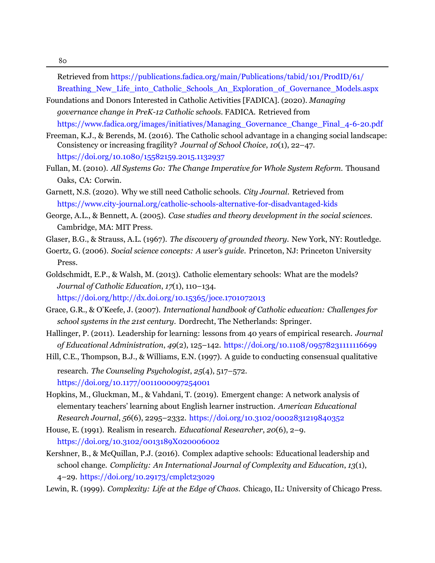80

Retrieved from [https://publications.fadica.org/main/Publications/tabid/101/ProdID/61/](https://publications.fadica.org/main/Publications/tabid/101/ProdID/61/Breathing_New_Life_into_Catholic_Schools_An_Exploration_of_Governance_Models.aspx) [Breathing\\_New\\_Life\\_into\\_Catholic\\_Schools\\_An\\_Exploration\\_of\\_Governance\\_Models.aspx](https://publications.fadica.org/main/Publications/tabid/101/ProdID/61/Breathing_New_Life_into_Catholic_Schools_An_Exploration_of_Governance_Models.aspx)

- <span id="page-27-1"></span>Foundations and Donors Interested in Catholic Activities [FADICA]. (2020). *Managing governance change in PreK-12 Catholic schools*. FADICA. [Retrieved from](https://www.fadica.org/images/initiatives/Managing_Governance_Change_Final_4-6-20.pdf) [https://www.fadica.org/images/initiatives/Managing\\_Governance\\_Change\\_Final\\_4-6-20.pdf](https://www.fadica.org/images/initiatives/Managing_Governance_Change_Final_4-6-20.pdf)
- <span id="page-27-12"></span>Freeman, K.J., & Berends, M. (2016). The Catholic school advantage in a changing social landscape: Consistency or increasing fragility? *Journal of School Choice*, *10*(1), 22–47. <https://doi.org/10.1080/15582159.2015.1132937>
- <span id="page-27-13"></span>Fullan, M. (2010). *All Systems Go: The Change Imperative for Whole System Reform*. Thousand Oaks, CA: Corwin.
- <span id="page-27-0"></span>Garnett, N.S. (2020). Why we still need Catholic schools. *City Journal*. [Retrieved](https://www.city-journal.org/catholic-schools-alternative-for-disadvantaged-kids) from <https://www.city-journal.org/catholic-schools-alternative-for-disadvantaged-kids>
- <span id="page-27-9"></span>George, A.L., & Bennett, A. (2005). *Case studies and theory development in the social sciences*. Cambridge, MA: MIT Press.
- <span id="page-27-10"></span>Glaser, B.G., & Strauss, A.L. (1967). *The discovery of grounded theory*. New York, NY: Routledge.
- <span id="page-27-7"></span>Goertz, G. (2006). *Social science concepts: A user's guide*. Princeton, NJ: Princeton University Press.
- <span id="page-27-2"></span>Goldschmidt, E.P., & Walsh, M. (2013). Catholic elementary schools: What are the models? *Journal of Catholic Education*, *17*(1), 110–134. <https://doi.org/http://dx.doi.org/10.15365/joce.1701072013>
- Grace, G.R., & O'Keefe, J. (2007). *International handbook of Catholic education: Challenges for school systems in the 21st century*. Dordrecht, The Netherlands: Springer.
- <span id="page-27-6"></span>Hallinger, P. (2011). Leadership for learning: lessons from 40 years of empirical research. *Journal of Educational Administration*, *49*(2), 125–142. <https://doi.org/10.1108/09578231111116699>
- <span id="page-27-11"></span>Hill, C.E., Thompson, B.J., & Williams, E.N. (1997). A guide to conducting consensual qualitative research. *The Counseling Psychologist*, *25*(4), 517–572. <https://doi.org/10.1177/0011000097254001>
- <span id="page-27-4"></span>Hopkins, M., Gluckman, M., & Vahdani, T. (2019). Emergent change: A network analysis of elementary teachers' learning about English learner instruction. *American Educational Research Journal*, *56*(6), 2295–2332. <https://doi.org/10.3102/0002831219840352>
- <span id="page-27-8"></span>House, E. (1991). Realism in research. *Educational Researcher*, *20*(6), 2–9. <https://doi.org/10.3102/0013189X020006002>
- <span id="page-27-3"></span>Kershner, B., & McQuillan, P.J. (2016). Complex adaptive schools: Educational leadership and school change. *Complicity: An International Journal of Complexity and Education*, *13*(1), 4–29. <https://doi.org/10.29173/cmplct23029>
- <span id="page-27-5"></span>Lewin, R. (1999). *Complexity: Life at the Edge of Chaos*. Chicago, IL: University of Chicago Press.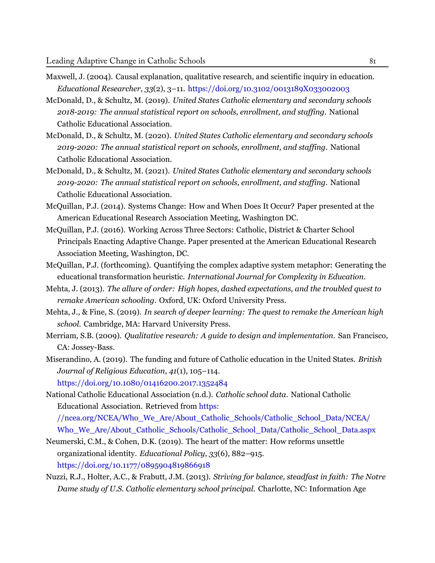- <span id="page-28-12"></span>Maxwell, J. (2004). Causal explanation, qualitative research, and scientific inquiry in education. *Educational Researcher*, *33*(2), 3–11. <https://doi.org/10.3102/0013189X033002003>
- <span id="page-28-1"></span>McDonald, D., & Schultz, M. (2019). *United States Catholic elementary and secondary schools 2018-2019: The annual statistical report on schools, enrollment, and staffing*. National Catholic Educational Association.
- <span id="page-28-2"></span>McDonald, D., & Schultz, M. (2020). *United States Catholic elementary and secondary schools 2019-2020: The annual statistical report on schools, enrollment, and staffing*. National Catholic Educational Association.
- <span id="page-28-3"></span>McDonald, D., & Schultz, M. (2021). *United States Catholic elementary and secondary schools 2019-2020: The annual statistical report on schools, enrollment, and staffing*. National Catholic Educational Association.
- <span id="page-28-8"></span>McQuillan, P.J. (2014). Systems Change: How and When Does It Occur? Paper presented at the American Educational Research Association Meeting, Washington DC.
- <span id="page-28-10"></span>McQuillan, P.J. (2016). Working Across Three Sectors: Catholic, District & Charter School Principals Enacting Adaptive Change. Paper presented at the American Educational Research Association Meeting, Washington, DC.
- <span id="page-28-9"></span>McQuillan, P.J. (forthcoming). Quantifying the complex adaptive system metaphor: Generating the educational transformation heuristic. *International Journal for Complexity in Education*.
- <span id="page-28-6"></span>Mehta, J. (2013). *The allure of order: High hopes, dashed expectations, and the troubled quest to remake American schooling*. Oxford, UK: Oxford University Press.
- <span id="page-28-7"></span>Mehta, J., & Fine, S. (2019). *In search of deeper learning: The quest to remake the American high school*. Cambridge, MA: Harvard University Press.
- <span id="page-28-13"></span>Merriam, S.B. (2009). *Qualitative research: A guide to design and implementation*. San Francisco, CA: Jossey-Bass.
- <span id="page-28-4"></span>Miserandino, A. (2019). The funding and future of Catholic education in the United States. *British Journal of Religious Education*, *41*(1), 105–114. <https://doi.org/10.1080/01416200.2017.1352484>

<span id="page-28-0"></span>National Catholic Educational Association (n.d.). *Catholic school data*. National Catholic Educational Association. [Retrieved](https://ncea.org/NCEA/Who_We_Are/About_Catholic_Schools/Catholic_School_Data/NCEA/Who_We_Are/About_Catholic_Schools/Catholic_School_Data/Catholic_School_Data.aspx) from https: [//ncea.org/NCEA/Who\\_We\\_Are/About\\_Catholic\\_Schools/Catholic\\_School\\_Data/NCEA/](https://ncea.org/NCEA/Who_We_Are/About_Catholic_Schools/Catholic_School_Data/NCEA/Who_We_Are/About_Catholic_Schools/Catholic_School_Data/Catholic_School_Data.aspx) [Who\\_We\\_Are/About\\_Catholic\\_Schools/Catholic\\_School\\_Data/Catholic\\_School\\_Data.aspx](https://ncea.org/NCEA/Who_We_Are/About_Catholic_Schools/Catholic_School_Data/NCEA/Who_We_Are/About_Catholic_Schools/Catholic_School_Data/Catholic_School_Data.aspx)

<span id="page-28-5"></span>Neumerski, C.M., & Cohen, D.K. (2019). The heart of the matter: How reforms unsettle organizational identity. *Educational Policy*, *33*(6), 882–915. <https://doi.org/10.1177/0895904819866918>

<span id="page-28-11"></span>Nuzzi, R.J., Holter, A.C., & Frabutt, J.M. (2013). *Striving for balance, steadfast in faith: The Notre Dame study of U.S. Catholic elementary school principal*. Charlotte, NC: Information Age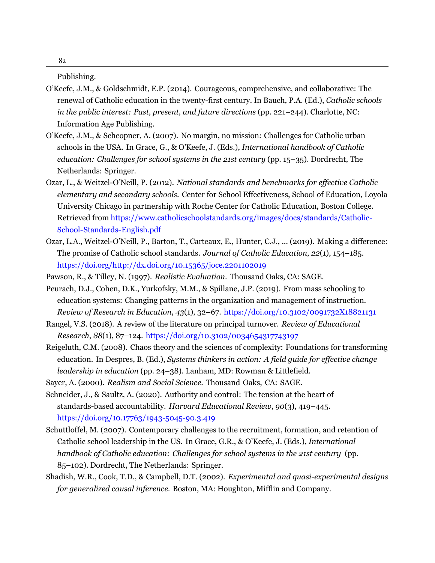Publishing.

- <span id="page-29-1"></span>O'Keefe, J.M., & Goldschmidt, E.P. (2014). Courageous, comprehensive, and collaborative: The renewal of Catholic education in the twenty-first century. In Bauch, P.A. (Ed.), *Catholic schools in the public interest: Past, present, and future directions* (pp. 221–244). Charlotte, NC: Information Age Publishing.
- <span id="page-29-0"></span>O'Keefe, J.M., & Scheopner, A. (2007). No margin, no mission: Challenges for Catholic urban schools in the USA. In Grace, G., & O'Keefe, J. (Eds.), *International handbook of Catholic education: Challenges for school systems in the 21st century* (pp. 15–35). Dordrecht, The Netherlands: Springer.
- <span id="page-29-10"></span>Ozar, L., & Weitzel-O'Neill, P. (2012). *National standards and benchmarks for effective Catholic elementary and secondary schools*. Center for School Effectiveness, School of Education, Loyola University Chicago in partnership with Roche Center for Catholic Education, Boston College. Retrieved from [https://www.catholicschoolstandards.org/images/docs/standards/Catholic-](https://www.catholicschoolstandards.org/images/docs/standards/Catholic-School-Standards-English.pdf)[School-Standards-English.pdf](https://www.catholicschoolstandards.org/images/docs/standards/Catholic-School-Standards-English.pdf)
- <span id="page-29-3"></span>Ozar, L.A., Weitzel-O'Neill, P., Barton, T., Carteaux, E., Hunter, C.J., ... (2019). Making a difference: The promise of Catholic school standards. *Journal of Catholic Education*, *22*(1), 154–185. <https://doi.org/http://dx.doi.org/10.15365/joce.2201102019>
- <span id="page-29-8"></span><span id="page-29-2"></span>Pawson, R., & Tilley, N. (1997). *Realistic Evaluation*. Thousand Oaks, CA: SAGE.
- Peurach, D.J., Cohen, D.K., Yurkofsky, M.M., & Spillane, J.P. (2019). From mass schooling to education systems: Changing patterns in the organization and management of instruction. *Review of Research in Education*, *43*(1), 32–67. <https://doi.org/10.3102/0091732X18821131>
- <span id="page-29-11"></span>Rangel, V.S. (2018). A review of the literature on principal turnover. *Review of Educational Research*, *88*(1), 87–124. <https://doi.org/10.3102/0034654317743197>
- <span id="page-29-6"></span>Reigeluth, C.M. (2008). Chaos theory and the sciences of complexity: Foundations for transforming education. In Despres, B. (Ed.), *Systems thinkers in action: A field guide for effective change leadership in education* (pp. 24–38). Lanham, MD: Rowman & Littlefield.
- <span id="page-29-7"></span>Sayer, A. (2000). *Realism and Social Science*. Thousand Oaks, CA: SAGE.
- <span id="page-29-5"></span>Schneider, J., & Saultz, A. (2020). Authority and control: The tension at the heart of standards-based accountability. *Harvard Educational Review*, *90*(3), 419–445. <https://doi.org/10.17763/1943-5045-90.3.419>
- <span id="page-29-4"></span>Schuttloffel, M. (2007). Contemporary challenges to the recruitment, formation, and retention of Catholic school leadership in the US. In Grace, G.R., & O'Keefe, J. (Eds.), *International handbook of Catholic education: Challenges for school systems in the 21st century* (pp. 85–102). Dordrecht, The Netherlands: Springer.
- <span id="page-29-9"></span>Shadish, W.R., Cook, T.D., & Campbell, D.T. (2002). *Experimental and quasi-experimental designs for generalized causal inference*. Boston, MA: Houghton, Mifflin and Company.